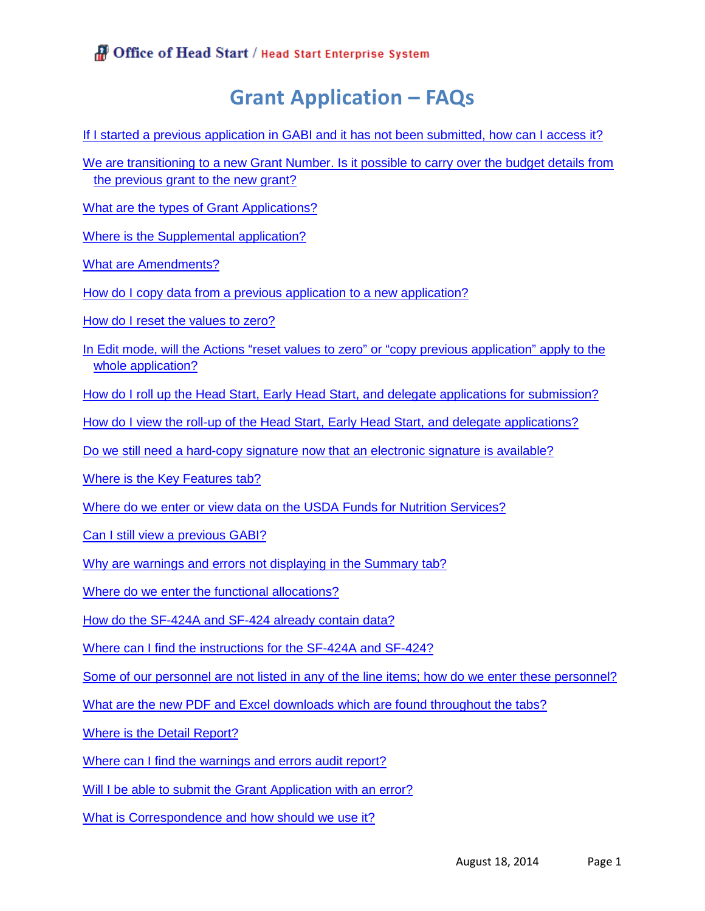# **Grant Application – FAQs**

[If I started a previous application in GABI and it has not been submitted, how can I access it?](#page-1-0)

[We are transitioning to a new Grant Number. Is it possible to carry over the budget details from](#page-1-1)  [the previous grant to the new grant?](#page-1-1)

[What are the types of Grant Applications?](#page-1-2)

[Where is the Supplemental application?](#page-1-3)

[What are Amendments?](#page-1-4)

[How do I copy data from a previous application to a new application?](#page-1-5)

[How do I reset the values to zero?](#page-2-0)

[In Edit mode, will the Actions "reset values to zero" or "copy previous application" apply to the](#page-2-1)  [whole application?](#page-2-1)

[How do I roll up the Head Start, Early Head Start, and delegate applications for submission?](#page-2-2)

[How do I view the roll-up of the Head Start, Early Head Start, and delegate applications?](#page-2-3)

[Do we still need a hard-copy signature now that an electronic signature is available?](#page-2-4)

[Where is the Key Features tab?](#page-2-5)

[Where do we enter or view data on the USDA Funds for Nutrition Services?](#page-2-6)

[Can I still view a previous GABI?](#page-2-7)

[Why are warnings and errors not displaying in the Summary tab?](#page-3-0)

[Where do we enter the functional allocations?](#page-3-1)

[How do the SF-424A and SF-424 already contain data?](#page-3-2)

[Where can I find the instructions for the SF-424A and SF-424?](#page-3-3)

[Some of our personnel are not listed in any of the line items; how do we enter these personnel?](#page-3-4)

[What are the new PDF and Excel downloads which are found throughout the tabs?](#page-3-5)

[Where is the Detail Report?](#page-3-6)

[Where can I find the warnings and errors audit report?](#page-3-7)

[Will I be able to submit the Grant](#page-3-8) Application with an error?

[What is Correspondence and how should we use it?](#page-4-0)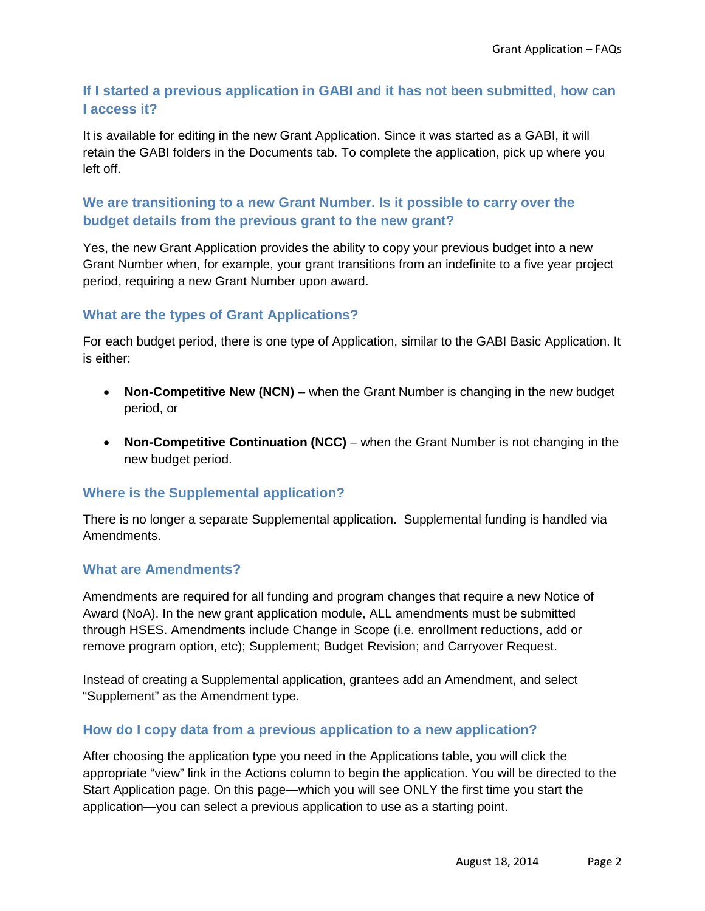# <span id="page-1-0"></span>**If I started a previous application in GABI and it has not been submitted, how can I access it?**

It is available for editing in the new Grant Application. Since it was started as a GABI, it will retain the GABI folders in the Documents tab. To complete the application, pick up where you left off.

# <span id="page-1-1"></span>**We are transitioning to a new Grant Number. Is it possible to carry over the budget details from the previous grant to the new grant?**

Yes, the new Grant Application provides the ability to copy your previous budget into a new Grant Number when, for example, your grant transitions from an indefinite to a five year project period, requiring a new Grant Number upon award.

# <span id="page-1-2"></span>**What are the types of Grant Applications?**

For each budget period, there is one type of Application, similar to the GABI Basic Application. It is either:

- **Non-Competitive New (NCN)** when the Grant Number is changing in the new budget period, or
- **Non-Competitive Continuation (NCC)** when the Grant Number is not changing in the new budget period.

## <span id="page-1-3"></span>**Where is the Supplemental application?**

There is no longer a separate Supplemental application. Supplemental funding is handled via Amendments.

## <span id="page-1-4"></span>**What are Amendments?**

Amendments are required for all funding and program changes that require a new Notice of Award (NoA). In the new grant application module, ALL amendments must be submitted through HSES. Amendments include Change in Scope (i.e. enrollment reductions, add or remove program option, etc); Supplement; Budget Revision; and Carryover Request.

Instead of creating a Supplemental application, grantees add an Amendment, and select "Supplement" as the Amendment type.

## <span id="page-1-5"></span>**How do I copy data from a previous application to a new application?**

After choosing the application type you need in the Applications table, you will click the appropriate "view" link in the Actions column to begin the application. You will be directed to the Start Application page. On this page—which you will see ONLY the first time you start the application—you can select a previous application to use as a starting point.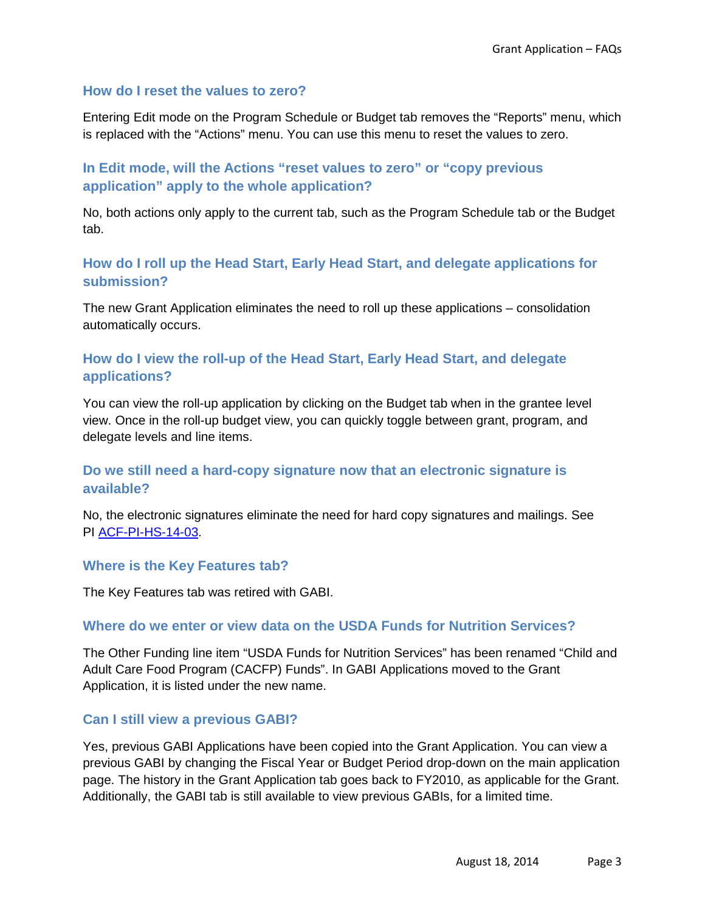### <span id="page-2-0"></span>**How do I reset the values to zero?**

Entering Edit mode on the Program Schedule or Budget tab removes the "Reports" menu, which is replaced with the "Actions" menu. You can use this menu to reset the values to zero.

# <span id="page-2-1"></span>**In Edit mode, will the Actions "reset values to zero" or "copy previous application" apply to the whole application?**

No, both actions only apply to the current tab, such as the Program Schedule tab or the Budget tab.

# <span id="page-2-2"></span>**How do I roll up the Head Start, Early Head Start, and delegate applications for submission?**

The new Grant Application eliminates the need to roll up these applications – consolidation automatically occurs.

# <span id="page-2-3"></span>**How do I view the roll-up of the Head Start, Early Head Start, and delegate applications?**

You can view the roll-up application by clicking on the Budget tab when in the grantee level view. Once in the roll-up budget view, you can quickly toggle between grant, program, and delegate levels and line items.

# <span id="page-2-4"></span>**Do we still need a hard-copy signature now that an electronic signature is available?**

No, the electronic signatures eliminate the need for hard copy signatures and mailings. See PI [ACF-PI-HS-14-03.](http://eclkc.ohs.acf.hhs.gov/hslc/standards/pi/2014/resour_pri_003_081814.html)

### <span id="page-2-5"></span>**Where is the Key Features tab?**

The Key Features tab was retired with GABI.

## <span id="page-2-6"></span>**Where do we enter or view data on the USDA Funds for Nutrition Services?**

The Other Funding line item "USDA Funds for Nutrition Services" has been renamed "Child and Adult Care Food Program (CACFP) Funds". In GABI Applications moved to the Grant Application, it is listed under the new name.

### <span id="page-2-7"></span>**Can I still view a previous GABI?**

Yes, previous GABI Applications have been copied into the Grant Application. You can view a previous GABI by changing the Fiscal Year or Budget Period drop-down on the main application page. The history in the Grant Application tab goes back to FY2010, as applicable for the Grant. Additionally, the GABI tab is still available to view previous GABIs, for a limited time.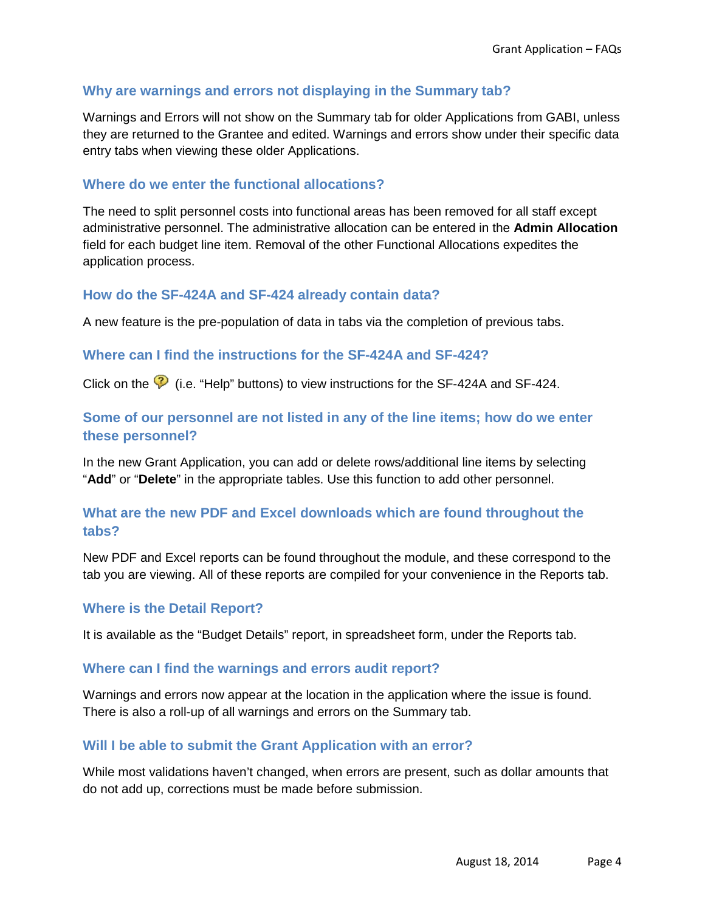## <span id="page-3-0"></span>**Why are warnings and errors not displaying in the Summary tab?**

Warnings and Errors will not show on the Summary tab for older Applications from GABI, unless they are returned to the Grantee and edited. Warnings and errors show under their specific data entry tabs when viewing these older Applications.

## <span id="page-3-1"></span>**Where do we enter the functional allocations?**

The need to split personnel costs into functional areas has been removed for all staff except administrative personnel. The administrative allocation can be entered in the **Admin Allocation** field for each budget line item. Removal of the other Functional Allocations expedites the application process.

#### <span id="page-3-2"></span>**How do the SF-424A and SF-424 already contain data?**

A new feature is the pre-population of data in tabs via the completion of previous tabs.

### <span id="page-3-3"></span>**Where can I find the instructions for the SF-424A and SF-424?**

Click on the  $\heartsuit$  (i.e. "Help" buttons) to view instructions for the SF-424A and SF-424.

## <span id="page-3-4"></span>**Some of our personnel are not listed in any of the line items; how do we enter these personnel?**

In the new Grant Application, you can add or delete rows/additional line items by selecting "**Add**" or "**Delete**" in the appropriate tables. Use this function to add other personnel.

## <span id="page-3-5"></span>**What are the new PDF and Excel downloads which are found throughout the tabs?**

New PDF and Excel reports can be found throughout the module, and these correspond to the tab you are viewing. All of these reports are compiled for your convenience in the Reports tab.

#### <span id="page-3-6"></span>**Where is the Detail Report?**

It is available as the "Budget Details" report, in spreadsheet form, under the Reports tab.

#### <span id="page-3-7"></span>**Where can I find the warnings and errors audit report?**

Warnings and errors now appear at the location in the application where the issue is found. There is also a roll-up of all warnings and errors on the Summary tab.

#### <span id="page-3-8"></span>**Will I be able to submit the Grant Application with an error?**

While most validations haven't changed, when errors are present, such as dollar amounts that do not add up, corrections must be made before submission.